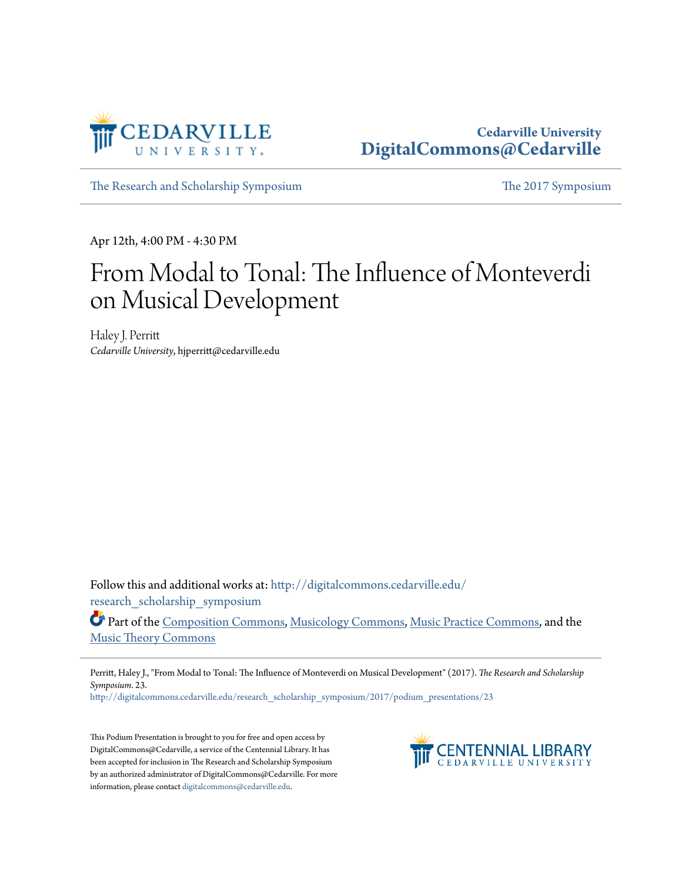

## **Cedarville University [DigitalCommons@Cedarville](http://digitalcommons.cedarville.edu?utm_source=digitalcommons.cedarville.edu%2Fresearch_scholarship_symposium%2F2017%2Fpodium_presentations%2F23&utm_medium=PDF&utm_campaign=PDFCoverPages)**

[The Research and Scholarship Symposium](http://digitalcommons.cedarville.edu/research_scholarship_symposium?utm_source=digitalcommons.cedarville.edu%2Fresearch_scholarship_symposium%2F2017%2Fpodium_presentations%2F23&utm_medium=PDF&utm_campaign=PDFCoverPages) [The 2017 Symposium](http://digitalcommons.cedarville.edu/research_scholarship_symposium/2017?utm_source=digitalcommons.cedarville.edu%2Fresearch_scholarship_symposium%2F2017%2Fpodium_presentations%2F23&utm_medium=PDF&utm_campaign=PDFCoverPages)

Apr 12th, 4:00 PM - 4:30 PM

## From Modal to Tonal: The Influence of Monteverdi on Musical Development

Haley J. Perritt *Cedarville University*, hjperritt@cedarville.edu

Follow this and additional works at: [http://digitalcommons.cedarville.edu/](http://digitalcommons.cedarville.edu/research_scholarship_symposium?utm_source=digitalcommons.cedarville.edu%2Fresearch_scholarship_symposium%2F2017%2Fpodium_presentations%2F23&utm_medium=PDF&utm_campaign=PDFCoverPages) [research\\_scholarship\\_symposium](http://digitalcommons.cedarville.edu/research_scholarship_symposium?utm_source=digitalcommons.cedarville.edu%2Fresearch_scholarship_symposium%2F2017%2Fpodium_presentations%2F23&utm_medium=PDF&utm_campaign=PDFCoverPages)

Part of the [Composition Commons,](http://network.bepress.com/hgg/discipline/519?utm_source=digitalcommons.cedarville.edu%2Fresearch_scholarship_symposium%2F2017%2Fpodium_presentations%2F23&utm_medium=PDF&utm_campaign=PDFCoverPages) [Musicology Commons](http://network.bepress.com/hgg/discipline/521?utm_source=digitalcommons.cedarville.edu%2Fresearch_scholarship_symposium%2F2017%2Fpodium_presentations%2F23&utm_medium=PDF&utm_campaign=PDFCoverPages), [Music Practice Commons](http://network.bepress.com/hgg/discipline/523?utm_source=digitalcommons.cedarville.edu%2Fresearch_scholarship_symposium%2F2017%2Fpodium_presentations%2F23&utm_medium=PDF&utm_campaign=PDFCoverPages), and the [Music Theory Commons](http://network.bepress.com/hgg/discipline/522?utm_source=digitalcommons.cedarville.edu%2Fresearch_scholarship_symposium%2F2017%2Fpodium_presentations%2F23&utm_medium=PDF&utm_campaign=PDFCoverPages)

Perritt, Haley J., "From Modal to Tonal: The Influence of Monteverdi on Musical Development" (2017). *The Research and Scholarship Symposium*. 23.

[http://digitalcommons.cedarville.edu/research\\_scholarship\\_symposium/2017/podium\\_presentations/23](http://digitalcommons.cedarville.edu/research_scholarship_symposium/2017/podium_presentations/23?utm_source=digitalcommons.cedarville.edu%2Fresearch_scholarship_symposium%2F2017%2Fpodium_presentations%2F23&utm_medium=PDF&utm_campaign=PDFCoverPages)

This Podium Presentation is brought to you for free and open access by DigitalCommons@Cedarville, a service of the Centennial Library. It has been accepted for inclusion in The Research and Scholarship Symposium by an authorized administrator of DigitalCommons@Cedarville. For more information, please contact [digitalcommons@cedarville.edu.](mailto:digitalcommons@cedarville.edu)

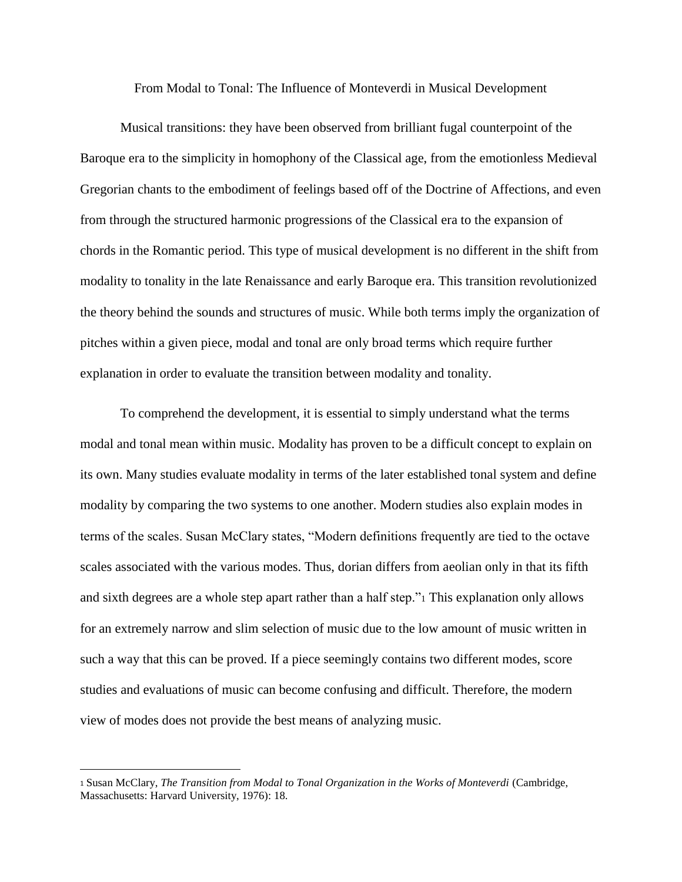From Modal to Tonal: The Influence of Monteverdi in Musical Development

Musical transitions: they have been observed from brilliant fugal counterpoint of the Baroque era to the simplicity in homophony of the Classical age, from the emotionless Medieval Gregorian chants to the embodiment of feelings based off of the Doctrine of Affections, and even from through the structured harmonic progressions of the Classical era to the expansion of chords in the Romantic period. This type of musical development is no different in the shift from modality to tonality in the late Renaissance and early Baroque era. This transition revolutionized the theory behind the sounds and structures of music. While both terms imply the organization of pitches within a given piece, modal and tonal are only broad terms which require further explanation in order to evaluate the transition between modality and tonality.

To comprehend the development, it is essential to simply understand what the terms modal and tonal mean within music. Modality has proven to be a difficult concept to explain on its own. Many studies evaluate modality in terms of the later established tonal system and define modality by comparing the two systems to one another. Modern studies also explain modes in terms of the scales. Susan McClary states, "Modern definitions frequently are tied to the octave scales associated with the various modes. Thus, dorian differs from aeolian only in that its fifth and sixth degrees are a whole step apart rather than a half step."<sup>1</sup> This explanation only allows for an extremely narrow and slim selection of music due to the low amount of music written in such a way that this can be proved. If a piece seemingly contains two different modes, score studies and evaluations of music can become confusing and difficult. Therefore, the modern view of modes does not provide the best means of analyzing music.

<sup>1</sup> Susan McClary, *The Transition from Modal to Tonal Organization in the Works of Monteverdi* (Cambridge, Massachusetts: Harvard University, 1976): 18.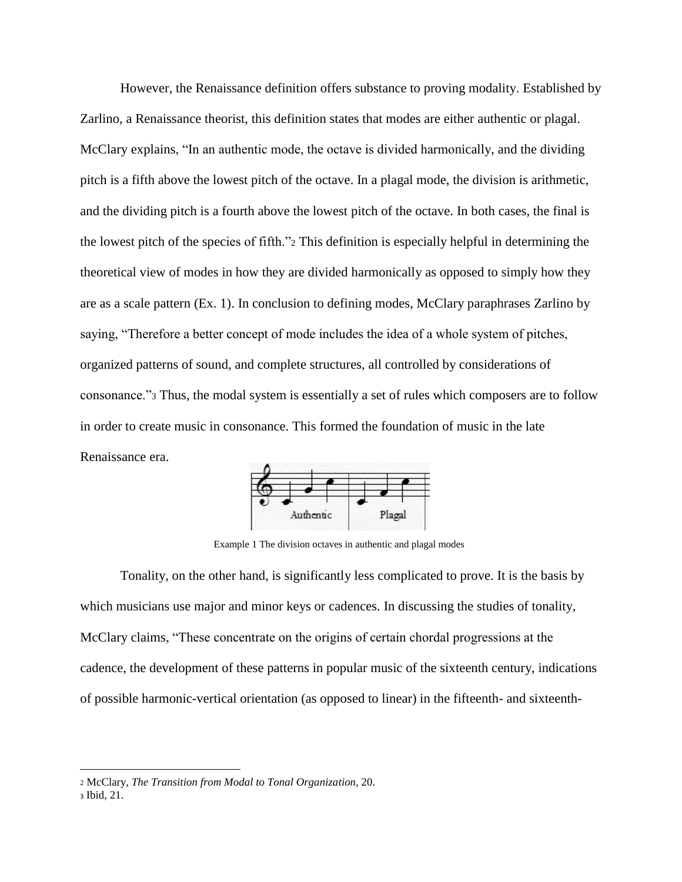However, the Renaissance definition offers substance to proving modality. Established by Zarlino, a Renaissance theorist, this definition states that modes are either authentic or plagal. McClary explains, "In an authentic mode, the octave is divided harmonically, and the dividing pitch is a fifth above the lowest pitch of the octave. In a plagal mode, the division is arithmetic, and the dividing pitch is a fourth above the lowest pitch of the octave. In both cases, the final is the lowest pitch of the species of fifth."<sup>2</sup> This definition is especially helpful in determining the theoretical view of modes in how they are divided harmonically as opposed to simply how they are as a scale pattern (Ex. 1). In conclusion to defining modes, McClary paraphrases Zarlino by saying, "Therefore a better concept of mode includes the idea of a whole system of pitches, organized patterns of sound, and complete structures, all controlled by considerations of consonance."<sup>3</sup> Thus, the modal system is essentially a set of rules which composers are to follow in order to create music in consonance. This formed the foundation of music in the late Renaissance era.



Example 1 The division octaves in authentic and plagal modes

Tonality, on the other hand, is significantly less complicated to prove. It is the basis by which musicians use major and minor keys or cadences. In discussing the studies of tonality, McClary claims, "These concentrate on the origins of certain chordal progressions at the cadence, the development of these patterns in popular music of the sixteenth century, indications of possible harmonic-vertical orientation (as opposed to linear) in the fifteenth- and sixteenth-

<sup>2</sup> McClary, *The Transition from Modal to Tonal Organization,* 20.

<sup>3</sup> Ibid, 21.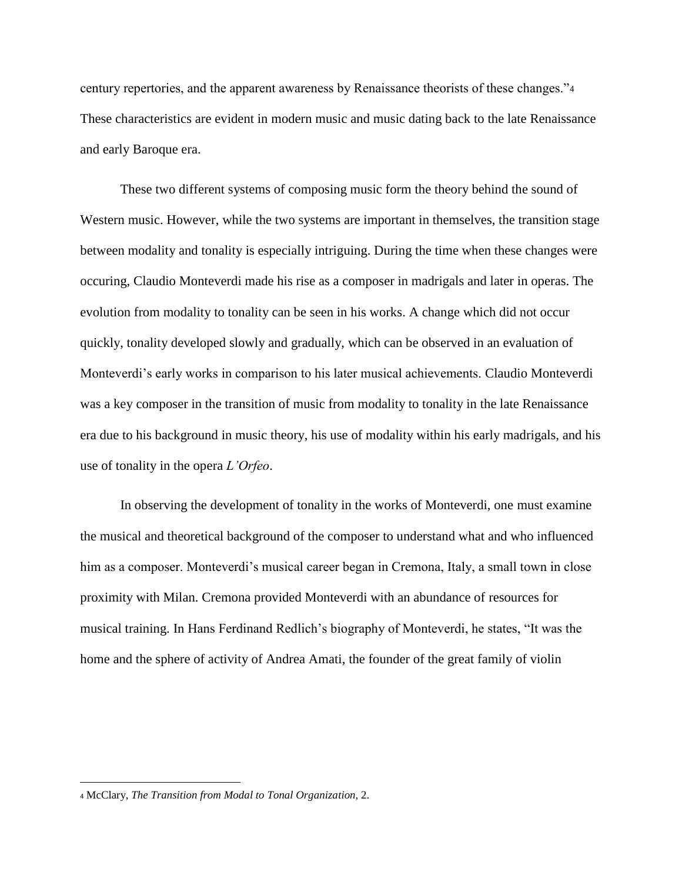century repertories, and the apparent awareness by Renaissance theorists of these changes."<sup>4</sup> These characteristics are evident in modern music and music dating back to the late Renaissance and early Baroque era.

These two different systems of composing music form the theory behind the sound of Western music. However, while the two systems are important in themselves, the transition stage between modality and tonality is especially intriguing. During the time when these changes were occuring, Claudio Monteverdi made his rise as a composer in madrigals and later in operas. The evolution from modality to tonality can be seen in his works. A change which did not occur quickly, tonality developed slowly and gradually, which can be observed in an evaluation of Monteverdi's early works in comparison to his later musical achievements. Claudio Monteverdi was a key composer in the transition of music from modality to tonality in the late Renaissance era due to his background in music theory, his use of modality within his early madrigals, and his use of tonality in the opera *L'Orfeo*.

In observing the development of tonality in the works of Monteverdi, one must examine the musical and theoretical background of the composer to understand what and who influenced him as a composer. Monteverdi's musical career began in Cremona, Italy, a small town in close proximity with Milan. Cremona provided Monteverdi with an abundance of resources for musical training. In Hans Ferdinand Redlich's biography of Monteverdi, he states, "It was the home and the sphere of activity of Andrea Amati, the founder of the great family of violin

<sup>4</sup> McClary, *The Transition from Modal to Tonal Organization*, 2.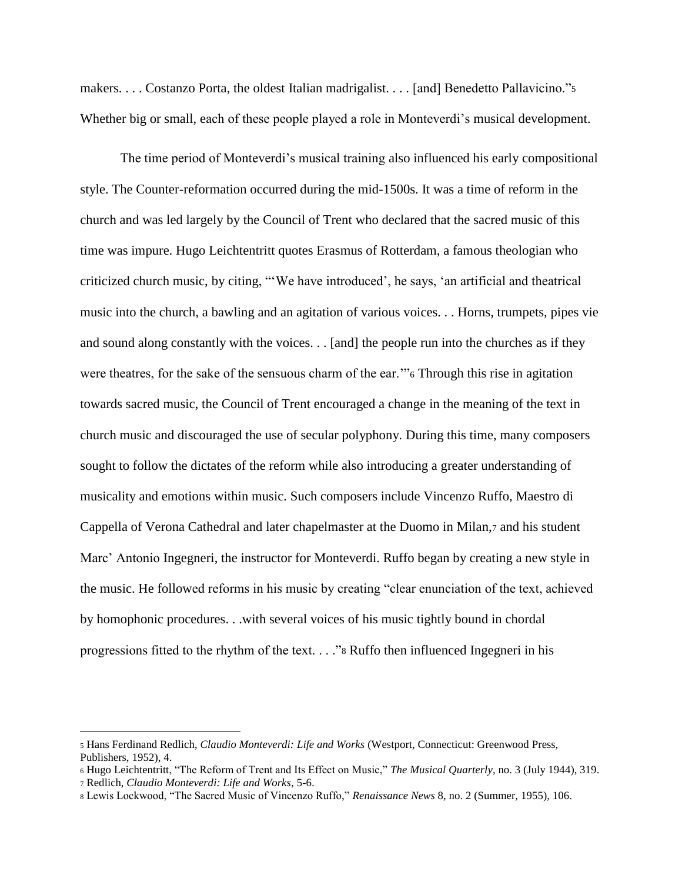makers. . . . Costanzo Porta, the oldest Italian madrigalist. . . . [and] Benedetto Pallavicino."<sup>5</sup> Whether big or small, each of these people played a role in Monteverdi's musical development.

The time period of Monteverdi's musical training also influenced his early compositional style. The Counter-reformation occurred during the mid-1500s. It was a time of reform in the church and was led largely by the Council of Trent who declared that the sacred music of this time was impure. Hugo Leichtentritt quotes Erasmus of Rotterdam, a famous theologian who criticized church music, by citing, "'We have introduced', he says, 'an artificial and theatrical music into the church, a bawling and an agitation of various voices. . . Horns, trumpets, pipes vie and sound along constantly with the voices. . . [and] the people run into the churches as if they were theatres, for the sake of the sensuous charm of the ear.'"<sup>6</sup> Through this rise in agitation towards sacred music, the Council of Trent encouraged a change in the meaning of the text in church music and discouraged the use of secular polyphony. During this time, many composers sought to follow the dictates of the reform while also introducing a greater understanding of musicality and emotions within music. Such composers include Vincenzo Ruffo, Maestro di Cappella of Verona Cathedral and later chapelmaster at the Duomo in Milan,<sup>7</sup> and his student Marc' Antonio Ingegneri, the instructor for Monteverdi. Ruffo began by creating a new style in the music. He followed reforms in his music by creating "clear enunciation of the text, achieved by homophonic procedures. . .with several voices of his music tightly bound in chordal progressions fitted to the rhythm of the text. . . ."<sup>8</sup> Ruffo then influenced Ingegneri in his

<sup>5</sup> Hans Ferdinand Redlich, *Claudio Monteverdi: Life and Works* (Westport, Connecticut: Greenwood Press, Publishers, 1952), 4.

<sup>6</sup> Hugo Leichtentritt, "The Reform of Trent and Its Effect on Music," *The Musical Quarterly*, no. 3 (July 1944), 319. <sup>7</sup> Redlich, *Claudio Monteverdi: Life and Works*, 5-6.

<sup>8</sup> Lewis Lockwood, "The Sacred Music of Vincenzo Ruffo," *Renaissance News* 8, no. 2 (Summer, 1955), 106.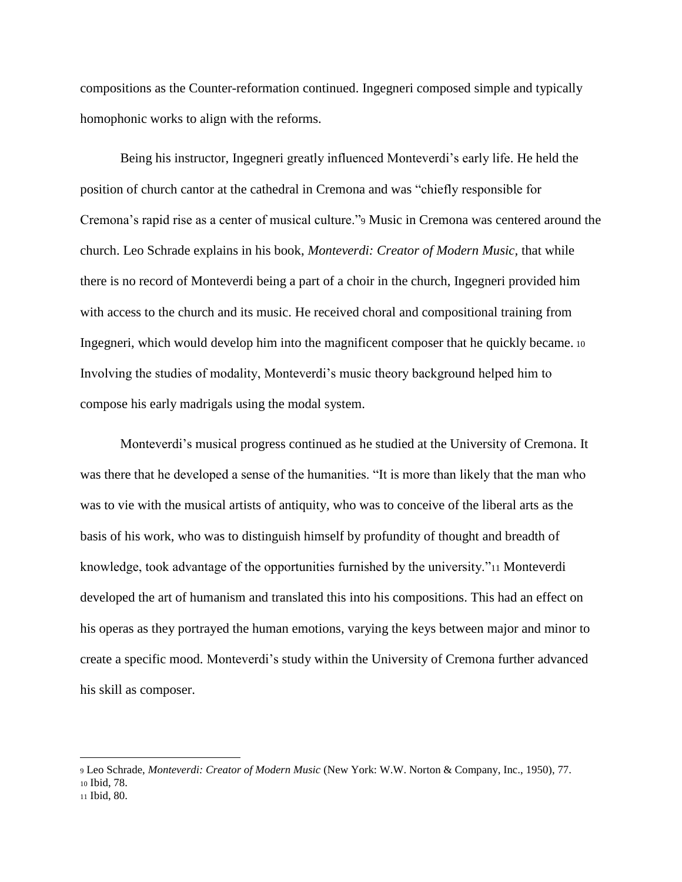compositions as the Counter-reformation continued. Ingegneri composed simple and typically homophonic works to align with the reforms.

Being his instructor, Ingegneri greatly influenced Monteverdi's early life. He held the position of church cantor at the cathedral in Cremona and was "chiefly responsible for Cremona's rapid rise as a center of musical culture."<sup>9</sup> Music in Cremona was centered around the church. Leo Schrade explains in his book, *Monteverdi: Creator of Modern Music,* that while there is no record of Monteverdi being a part of a choir in the church, Ingegneri provided him with access to the church and its music. He received choral and compositional training from Ingegneri, which would develop him into the magnificent composer that he quickly became. <sup>10</sup> Involving the studies of modality, Monteverdi's music theory background helped him to compose his early madrigals using the modal system.

Monteverdi's musical progress continued as he studied at the University of Cremona. It was there that he developed a sense of the humanities. "It is more than likely that the man who was to vie with the musical artists of antiquity, who was to conceive of the liberal arts as the basis of his work, who was to distinguish himself by profundity of thought and breadth of knowledge, took advantage of the opportunities furnished by the university."<sup>11</sup> Monteverdi developed the art of humanism and translated this into his compositions. This had an effect on his operas as they portrayed the human emotions, varying the keys between major and minor to create a specific mood. Monteverdi's study within the University of Cremona further advanced his skill as composer.

<sup>9</sup> Leo Schrade, *Monteverdi: Creator of Modern Music* (New York: W.W. Norton & Company, Inc., 1950), 77. <sup>10</sup> Ibid, 78.

<sup>11</sup> Ibid, 80.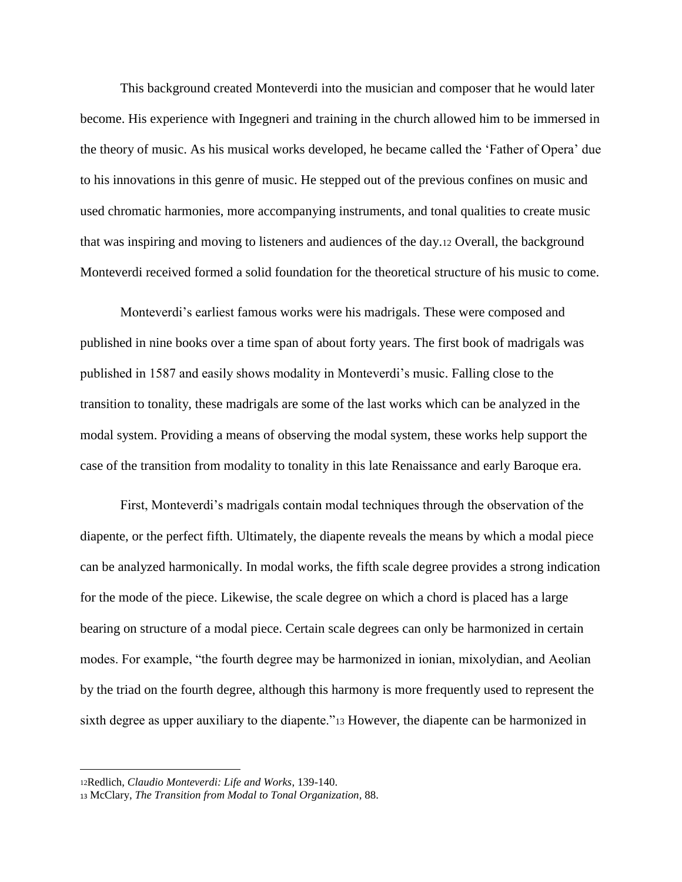This background created Monteverdi into the musician and composer that he would later become. His experience with Ingegneri and training in the church allowed him to be immersed in the theory of music. As his musical works developed, he became called the 'Father of Opera' due to his innovations in this genre of music. He stepped out of the previous confines on music and used chromatic harmonies, more accompanying instruments, and tonal qualities to create music that was inspiring and moving to listeners and audiences of the day.<sup>12</sup> Overall, the background Monteverdi received formed a solid foundation for the theoretical structure of his music to come.

Monteverdi's earliest famous works were his madrigals. These were composed and published in nine books over a time span of about forty years. The first book of madrigals was published in 1587 and easily shows modality in Monteverdi's music. Falling close to the transition to tonality, these madrigals are some of the last works which can be analyzed in the modal system. Providing a means of observing the modal system, these works help support the case of the transition from modality to tonality in this late Renaissance and early Baroque era.

First, Monteverdi's madrigals contain modal techniques through the observation of the diapente, or the perfect fifth. Ultimately, the diapente reveals the means by which a modal piece can be analyzed harmonically. In modal works, the fifth scale degree provides a strong indication for the mode of the piece. Likewise, the scale degree on which a chord is placed has a large bearing on structure of a modal piece. Certain scale degrees can only be harmonized in certain modes. For example, "the fourth degree may be harmonized in ionian, mixolydian, and Aeolian by the triad on the fourth degree, although this harmony is more frequently used to represent the sixth degree as upper auxiliary to the diapente."<sup>13</sup> However, the diapente can be harmonized in

<sup>12</sup>Redlich, *Claudio Monteverdi: Life and Works*, 139-140.

<sup>13</sup> McClary, *The Transition from Modal to Tonal Organization,* 88.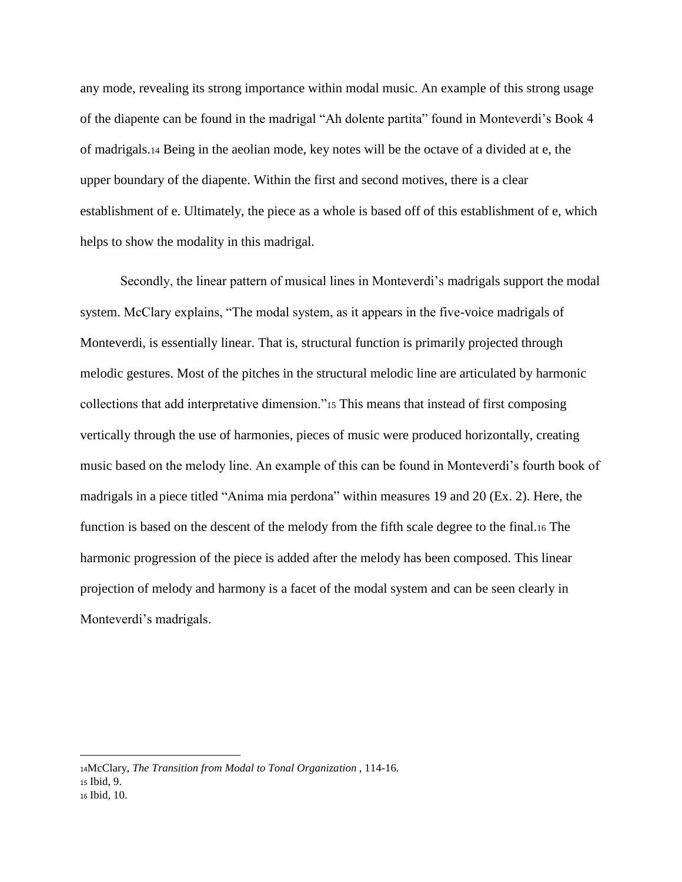any mode, revealing its strong importance within modal music. An example of this strong usage of the diapente can be found in the madrigal "Ah dolente partita" found in Monteverdi's Book 4 of madrigals.<sup>14</sup> Being in the aeolian mode, key notes will be the octave of a divided at e, the upper boundary of the diapente. Within the first and second motives, there is a clear establishment of e. Ultimately, the piece as a whole is based off of this establishment of e, which helps to show the modality in this madrigal.

Secondly, the linear pattern of musical lines in Monteverdi's madrigals support the modal system. McClary explains, "The modal system, as it appears in the five-voice madrigals of Monteverdi, is essentially linear. That is, structural function is primarily projected through melodic gestures. Most of the pitches in the structural melodic line are articulated by harmonic collections that add interpretative dimension."<sup>15</sup> This means that instead of first composing vertically through the use of harmonies, pieces of music were produced horizontally, creating music based on the melody line. An example of this can be found in Monteverdi's fourth book of madrigals in a piece titled "Anima mia perdona" within measures 19 and 20 (Ex. 2). Here, the function is based on the descent of the melody from the fifth scale degree to the final.<sup>16</sup> The harmonic progression of the piece is added after the melody has been composed. This linear projection of melody and harmony is a facet of the modal system and can be seen clearly in Monteverdi's madrigals.

 $\overline{a}$ 

<sup>14</sup>McClary, *The Transition from Modal to Tonal Organization* , 114-16. <sup>15</sup> Ibid, 9. <sup>16</sup> Ibid*,* 10.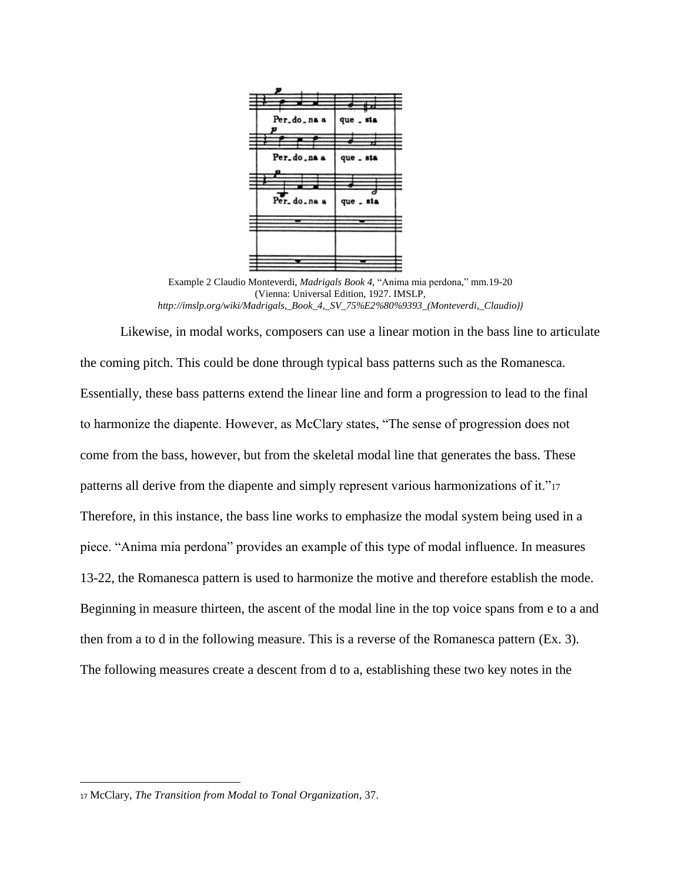

Example 2 Claudio Monteverdi, *Madrigals Book 4,* "Anima mia perdona," mm.19-20 (Vienna: Universal Edition, 1927. IMSLP*, http://imslp.org/wiki/Madrigals,\_Book\_4,\_SV\_75%E2%80%9393\_(Monteverdi,\_Claudio))*

Likewise, in modal works, composers can use a linear motion in the bass line to articulate the coming pitch. This could be done through typical bass patterns such as the Romanesca. Essentially, these bass patterns extend the linear line and form a progression to lead to the final to harmonize the diapente. However, as McClary states, "The sense of progression does not come from the bass, however, but from the skeletal modal line that generates the bass. These patterns all derive from the diapente and simply represent various harmonizations of it."<sup>17</sup> Therefore, in this instance, the bass line works to emphasize the modal system being used in a piece. "Anima mia perdona" provides an example of this type of modal influence. In measures 13-22, the Romanesca pattern is used to harmonize the motive and therefore establish the mode. Beginning in measure thirteen, the ascent of the modal line in the top voice spans from e to a and then from a to d in the following measure. This is a reverse of the Romanesca pattern (Ex. 3). The following measures create a descent from d to a, establishing these two key notes in the

<sup>17</sup> McClary, *The Transition from Modal to Tonal Organization*, 37.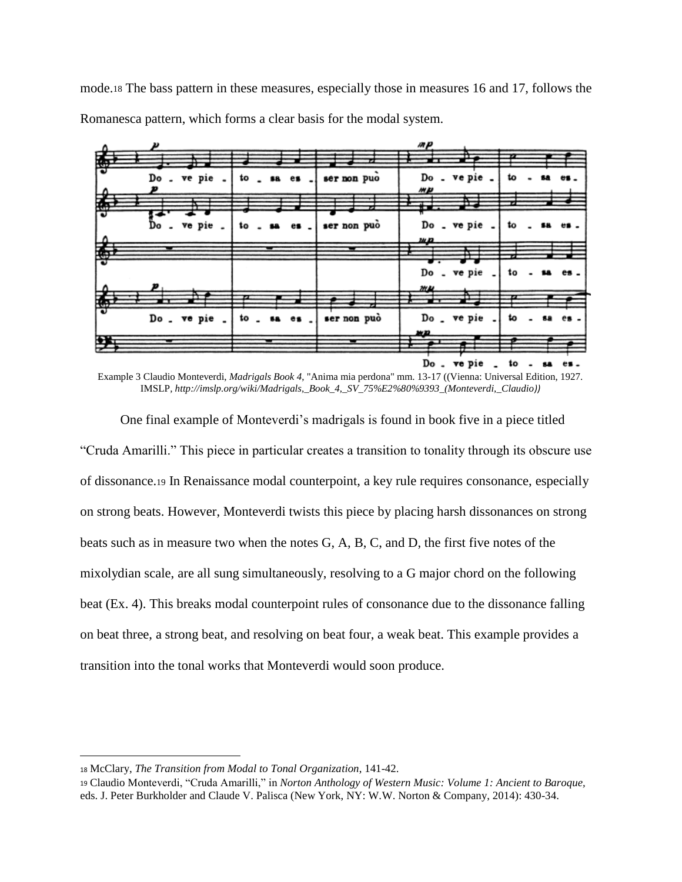mode.<sup>18</sup> The bass pattern in these measures, especially those in measures 16 and 17, follows the Romanesca pattern, which forms a clear basis for the modal system.



Example 3 Claudio Monteverdi, *Madrigals Book 4*, "Anima mia perdona" mm. 13-17 ((Vienna: Universal Edition, 1927. IMSLP*, http://imslp.org/wiki/Madrigals,\_Book\_4,\_SV\_75%E2%80%9393\_(Monteverdi,\_Claudio))*

One final example of Monteverdi's madrigals is found in book five in a piece titled "Cruda Amarilli." This piece in particular creates a transition to tonality through its obscure use of dissonance.<sup>19</sup> In Renaissance modal counterpoint, a key rule requires consonance, especially on strong beats. However, Monteverdi twists this piece by placing harsh dissonances on strong beats such as in measure two when the notes G, A, B, C, and D, the first five notes of the mixolydian scale, are all sung simultaneously, resolving to a G major chord on the following beat (Ex. 4). This breaks modal counterpoint rules of consonance due to the dissonance falling on beat three, a strong beat, and resolving on beat four, a weak beat. This example provides a transition into the tonal works that Monteverdi would soon produce.

<sup>18</sup> McClary, *The Transition from Modal to Tonal Organization*, 141-42.

<sup>19</sup> Claudio Monteverdi, "Cruda Amarilli," in *Norton Anthology of Western Music: Volume 1: Ancient to Baroque,*  eds. J. Peter Burkholder and Claude V. Palisca (New York, NY: W.W. Norton & Company, 2014): 430-34.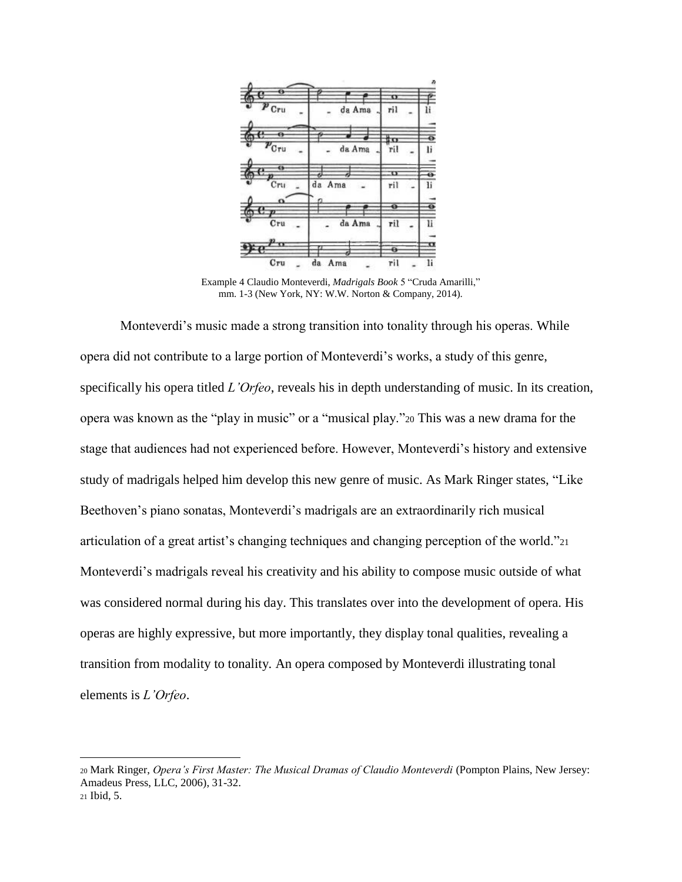

Example 4 Claudio Monteverdi, *Madrigals Book* 5 "Cruda Amarilli," mm. 1-3 (New York, NY: W.W. Norton & Company, 2014).

Monteverdi's music made a strong transition into tonality through his operas. While opera did not contribute to a large portion of Monteverdi's works, a study of this genre, specifically his opera titled *L'Orfeo*, reveals his in depth understanding of music. In its creation, opera was known as the "play in music" or a "musical play."<sup>20</sup> This was a new drama for the stage that audiences had not experienced before. However, Monteverdi's history and extensive study of madrigals helped him develop this new genre of music. As Mark Ringer states, "Like Beethoven's piano sonatas, Monteverdi's madrigals are an extraordinarily rich musical articulation of a great artist's changing techniques and changing perception of the world."<sup>21</sup> Monteverdi's madrigals reveal his creativity and his ability to compose music outside of what was considered normal during his day. This translates over into the development of opera. His operas are highly expressive, but more importantly, they display tonal qualities, revealing a transition from modality to tonality. An opera composed by Monteverdi illustrating tonal elements is *L'Orfeo*.

<sup>20</sup> Mark Ringer, *Opera's First Master: The Musical Dramas of Claudio Monteverdi* (Pompton Plains, New Jersey: Amadeus Press, LLC, 2006), 31-32. <sup>21</sup> Ibid, 5.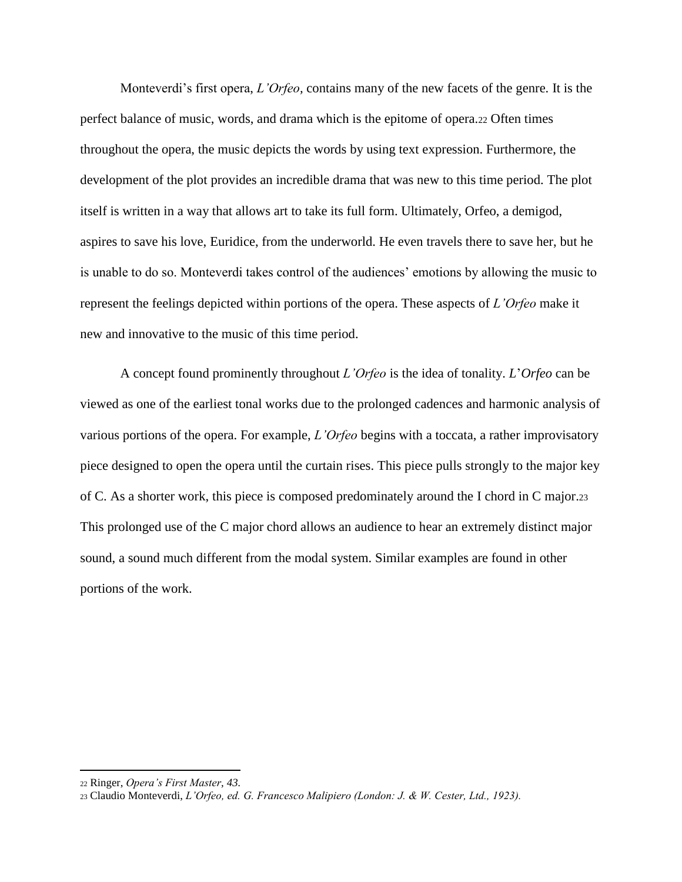Monteverdi's first opera, *L'Orfeo,* contains many of the new facets of the genre. It is the perfect balance of music, words, and drama which is the epitome of opera.<sup>22</sup> Often times throughout the opera, the music depicts the words by using text expression. Furthermore, the development of the plot provides an incredible drama that was new to this time period. The plot itself is written in a way that allows art to take its full form. Ultimately, Orfeo, a demigod, aspires to save his love, Euridice, from the underworld. He even travels there to save her, but he is unable to do so. Monteverdi takes control of the audiences' emotions by allowing the music to represent the feelings depicted within portions of the opera. These aspects of *L'Orfeo* make it new and innovative to the music of this time period.

A concept found prominently throughout *L'Orfeo* is the idea of tonality. *L*'*Orfeo* can be viewed as one of the earliest tonal works due to the prolonged cadences and harmonic analysis of various portions of the opera. For example, *L'Orfeo* begins with a toccata, a rather improvisatory piece designed to open the opera until the curtain rises. This piece pulls strongly to the major key of C. As a shorter work, this piece is composed predominately around the I chord in C major.<sup>23</sup> This prolonged use of the C major chord allows an audience to hear an extremely distinct major sound, a sound much different from the modal system. Similar examples are found in other portions of the work.

 $\overline{a}$ 

<sup>22</sup> Ringer, *Opera's First Master, 43.*

<sup>23</sup> Claudio Monteverdi, *L'Orfeo, ed. G. Francesco Malipiero (London: J. & W. Cester, Ltd., 1923).*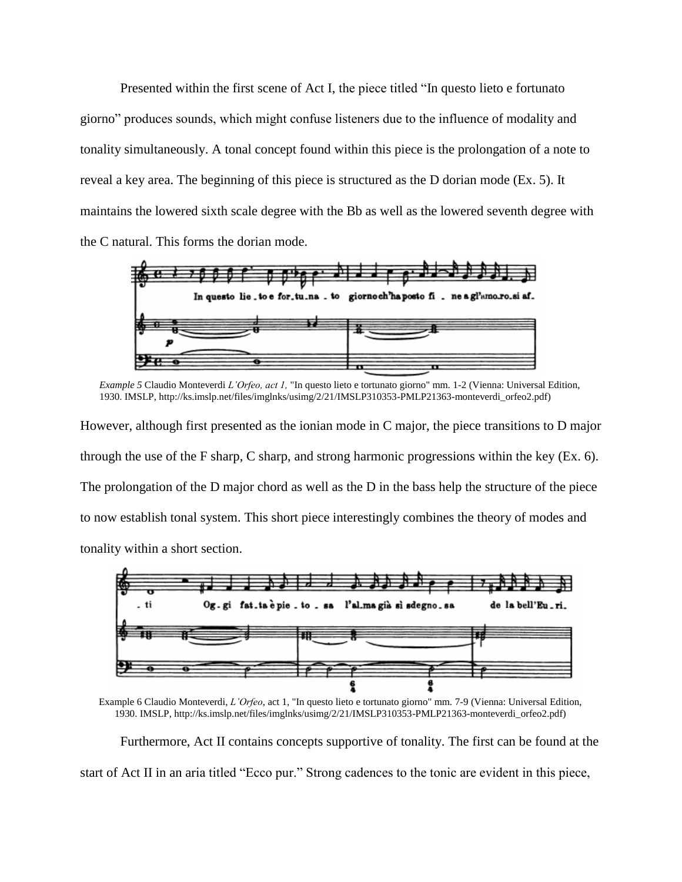Presented within the first scene of Act I, the piece titled "In questo lieto e fortunato giorno" produces sounds, which might confuse listeners due to the influence of modality and tonality simultaneously. A tonal concept found within this piece is the prolongation of a note to reveal a key area. The beginning of this piece is structured as the D dorian mode (Ex. 5). It maintains the lowered sixth scale degree with the Bb as well as the lowered seventh degree with the C natural. This forms the dorian mode.



*Example 5* Claudio Monteverdi *L'Orfeo, act 1,* "In questo lieto e tortunato giorno" mm. 1-2 (Vienna: Universal Edition, 1930. IMSLP, http://ks.imslp.net/files/imglnks/usimg/2/21/IMSLP310353-PMLP21363-monteverdi\_orfeo2.pdf)

However, although first presented as the ionian mode in C major, the piece transitions to D major through the use of the F sharp, C sharp, and strong harmonic progressions within the key (Ex. 6). The prolongation of the D major chord as well as the D in the bass help the structure of the piece to now establish tonal system. This short piece interestingly combines the theory of modes and tonality within a short section.



Example 6 Claudio Monteverdi, *L'Orfeo*, act 1, "In questo lieto e tortunato giorno" mm. 7-9 (Vienna: Universal Edition, 1930. IMSLP, http://ks.imslp.net/files/imglnks/usimg/2/21/IMSLP310353-PMLP21363-monteverdi\_orfeo2.pdf)

Furthermore, Act II contains concepts supportive of tonality. The first can be found at the start of Act II in an aria titled "Ecco pur." Strong cadences to the tonic are evident in this piece,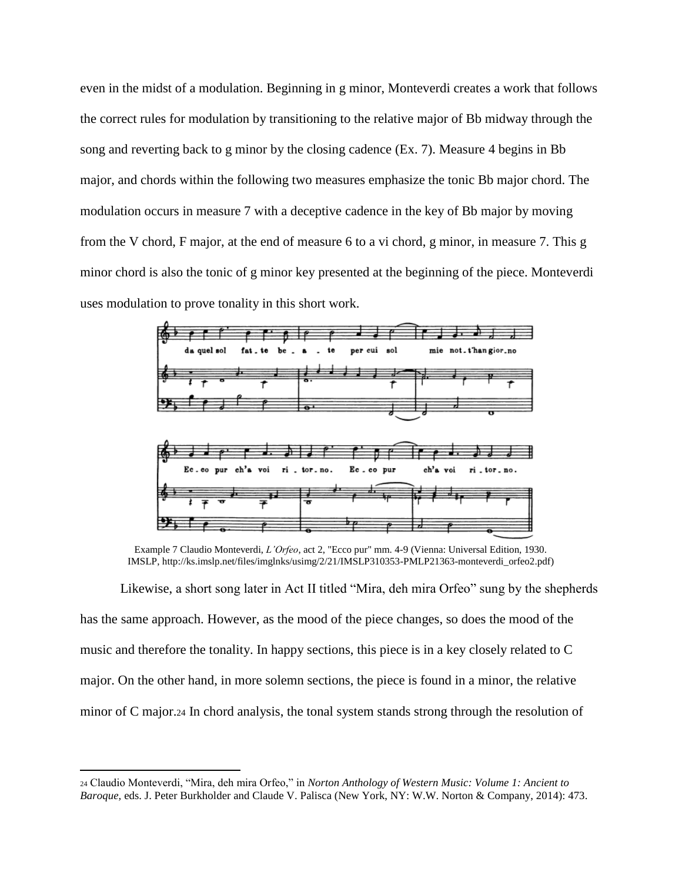even in the midst of a modulation. Beginning in g minor, Monteverdi creates a work that follows the correct rules for modulation by transitioning to the relative major of Bb midway through the song and reverting back to g minor by the closing cadence (Ex. 7). Measure 4 begins in Bb major, and chords within the following two measures emphasize the tonic Bb major chord. The modulation occurs in measure 7 with a deceptive cadence in the key of Bb major by moving from the V chord, F major, at the end of measure 6 to a vi chord, g minor, in measure 7. This g minor chord is also the tonic of g minor key presented at the beginning of the piece. Monteverdi uses modulation to prove tonality in this short work.



Example 7 Claudio Monteverdi, *L'Orfeo*, act 2, "Ecco pur" mm. 4-9 (Vienna: Universal Edition, 1930. IMSLP, http://ks.imslp.net/files/imglnks/usimg/2/21/IMSLP310353-PMLP21363-monteverdi\_orfeo2.pdf)

Likewise, a short song later in Act II titled "Mira, deh mira Orfeo" sung by the shepherds has the same approach. However, as the mood of the piece changes, so does the mood of the music and therefore the tonality. In happy sections, this piece is in a key closely related to C major. On the other hand, in more solemn sections, the piece is found in a minor, the relative minor of C major.<sup>24</sup> In chord analysis, the tonal system stands strong through the resolution of

 $\overline{a}$ 

<sup>24</sup> Claudio Monteverdi, "Mira, deh mira Orfeo," in *Norton Anthology of Western Music: Volume 1: Ancient to Baroque,* eds. J. Peter Burkholder and Claude V. Palisca (New York, NY: W.W. Norton & Company, 2014): 473.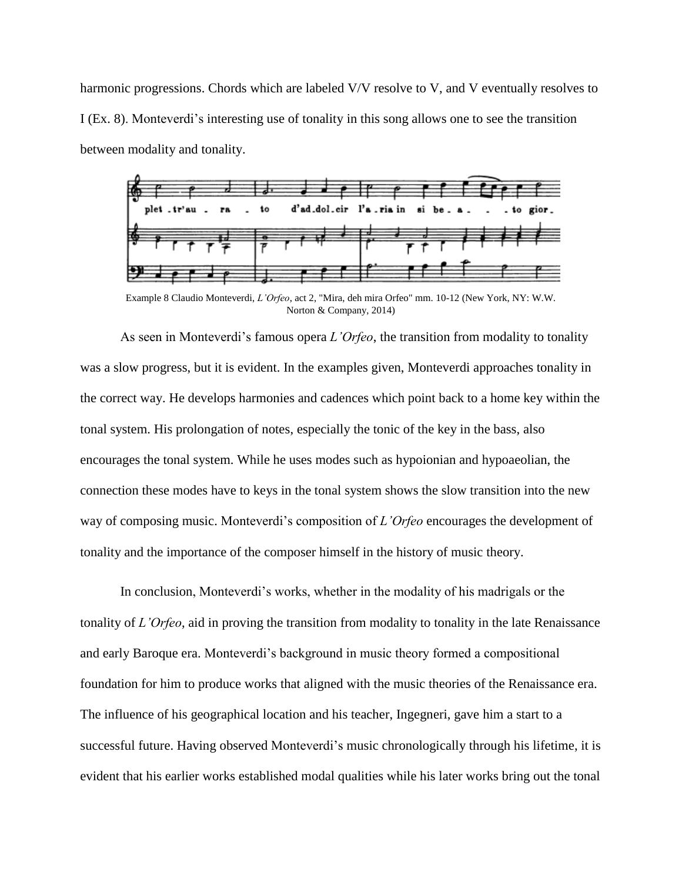harmonic progressions. Chords which are labeled V/V resolve to V, and V eventually resolves to I (Ex. 8). Monteverdi's interesting use of tonality in this song allows one to see the transition between modality and tonality.



Example 8 Claudio Monteverdi, *L'Orfeo*, act 2, "Mira, deh mira Orfeo" mm. 10-12 (New York, NY: W.W. Norton & Company, 2014)

As seen in Monteverdi's famous opera *L'Orfeo*, the transition from modality to tonality was a slow progress, but it is evident. In the examples given, Monteverdi approaches tonality in the correct way. He develops harmonies and cadences which point back to a home key within the tonal system. His prolongation of notes, especially the tonic of the key in the bass, also encourages the tonal system. While he uses modes such as hypoionian and hypoaeolian, the connection these modes have to keys in the tonal system shows the slow transition into the new way of composing music. Monteverdi's composition of *L'Orfeo* encourages the development of tonality and the importance of the composer himself in the history of music theory.

In conclusion, Monteverdi's works, whether in the modality of his madrigals or the tonality of *L'Orfeo*, aid in proving the transition from modality to tonality in the late Renaissance and early Baroque era. Monteverdi's background in music theory formed a compositional foundation for him to produce works that aligned with the music theories of the Renaissance era. The influence of his geographical location and his teacher, Ingegneri, gave him a start to a successful future. Having observed Monteverdi's music chronologically through his lifetime, it is evident that his earlier works established modal qualities while his later works bring out the tonal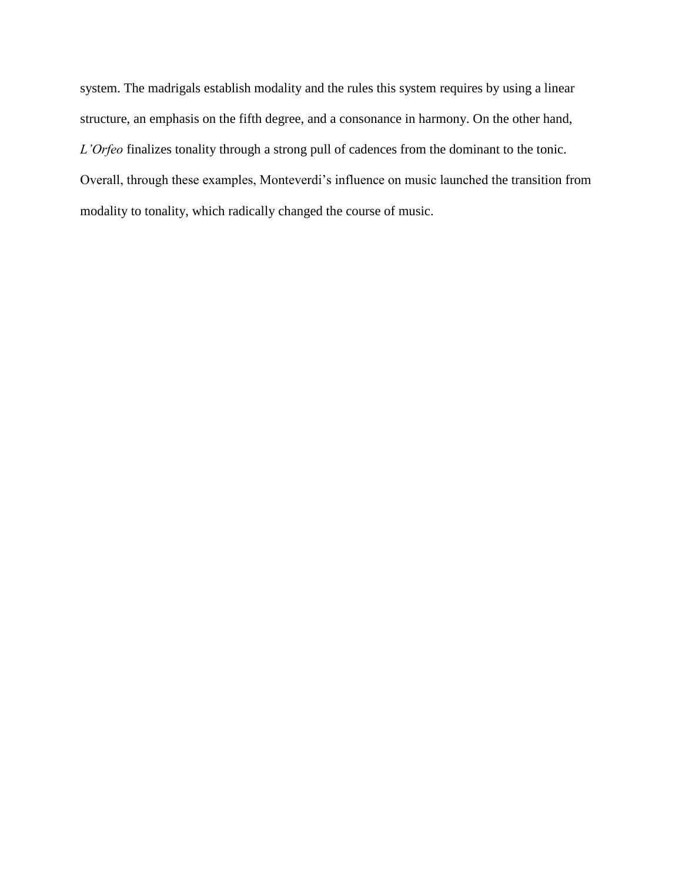system. The madrigals establish modality and the rules this system requires by using a linear structure, an emphasis on the fifth degree, and a consonance in harmony. On the other hand, *L'Orfeo* finalizes tonality through a strong pull of cadences from the dominant to the tonic. Overall, through these examples, Monteverdi's influence on music launched the transition from modality to tonality, which radically changed the course of music.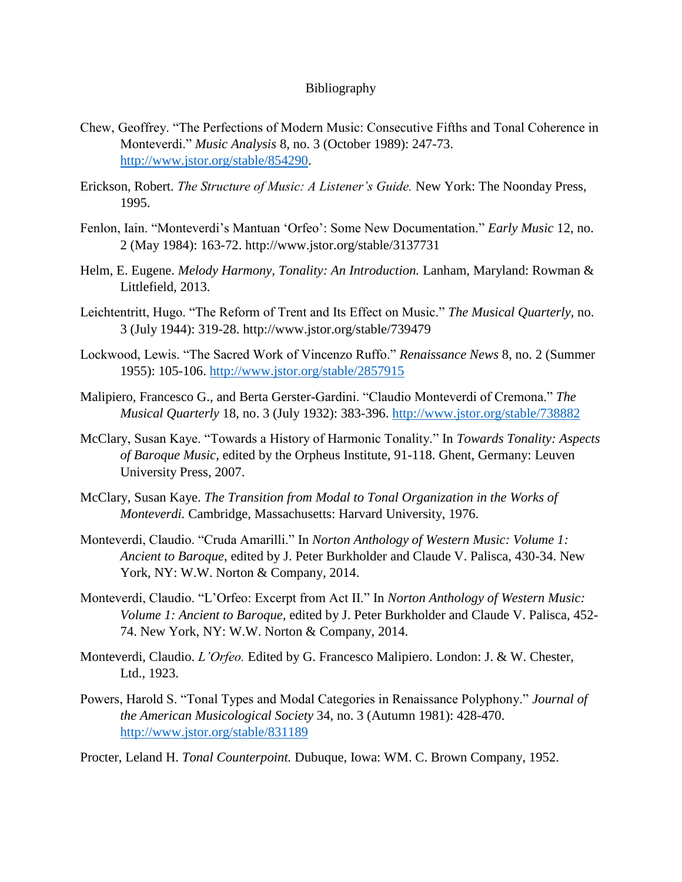## Bibliography

- Chew, Geoffrey. "The Perfections of Modern Music: Consecutive Fifths and Tonal Coherence in Monteverdi." *Music Analysis* 8, no. 3 (October 1989): 247-73. [http://www.jstor.org/stable/854290.](http://www.jstor.org/stable/854290)
- Erickson, Robert. *The Structure of Music: A Listener's Guide.* New York: The Noonday Press, 1995.
- Fenlon, Iain. "Monteverdi's Mantuan 'Orfeo': Some New Documentation." *Early Music* 12, no. 2 (May 1984): 163-72. http://www.jstor.org/stable/3137731
- Helm, E. Eugene. *Melody Harmony, Tonality: An Introduction.* Lanham, Maryland: Rowman & Littlefield, 2013.
- Leichtentritt, Hugo. "The Reform of Trent and Its Effect on Music." *The Musical Quarterly*, no. 3 (July 1944): 319-28. http://www.jstor.org/stable/739479
- Lockwood, Lewis. "The Sacred Work of Vincenzo Ruffo." *Renaissance News* 8, no. 2 (Summer 1955): 105-106.<http://www.jstor.org/stable/2857915>
- Malipiero, Francesco G., and Berta Gerster-Gardini. "Claudio Monteverdi of Cremona." *The Musical Quarterly* 18, no. 3 (July 1932): 383-396.<http://www.jstor.org/stable/738882>
- McClary, Susan Kaye. "Towards a History of Harmonic Tonality." In *Towards Tonality: Aspects of Baroque Music,* edited by the Orpheus Institute, 91-118. Ghent, Germany: Leuven University Press, 2007.
- McClary, Susan Kaye. *The Transition from Modal to Tonal Organization in the Works of Monteverdi.* Cambridge, Massachusetts: Harvard University, 1976.
- Monteverdi, Claudio. "Cruda Amarilli." In *Norton Anthology of Western Music: Volume 1: Ancient to Baroque*, edited by J. Peter Burkholder and Claude V. Palisca, 430-34. New York, NY: W.W. Norton & Company, 2014.
- Monteverdi, Claudio. "L'Orfeo: Excerpt from Act II." In *Norton Anthology of Western Music: Volume 1: Ancient to Baroque,* edited by J. Peter Burkholder and Claude V. Palisca, 452- 74. New York, NY: W.W. Norton & Company, 2014.
- Monteverdi, Claudio. *L'Orfeo.* Edited by G. Francesco Malipiero. London: J. & W. Chester, Ltd., 1923.
- Powers, Harold S. "Tonal Types and Modal Categories in Renaissance Polyphony." *Journal of the American Musicological Society* 34, no. 3 (Autumn 1981): 428-470. <http://www.jstor.org/stable/831189>

Procter, Leland H. *Tonal Counterpoint.* Dubuque, Iowa: WM. C. Brown Company, 1952.